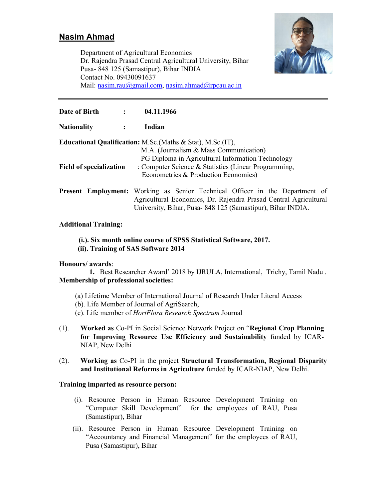# Nasim Ahmad



Department of Agricultural Economics Dr. Rajendra Prasad Central Agricultural University, Bihar Pusa- 848 125 (Samastipur), Bihar INDIA Contact No. 09430091637 Mail: nasim.rau@gmail.com, nasim.ahmad@rpcau.ac.in

Date of Birth : 04.11.1966 Nationality : Indian Educational Qualification: M.Sc.(Maths & Stat), M.Sc.(IT), M.A. (Journalism & Mass Communication) PG Diploma in Agricultural Information Technology Field of specialization : Computer Science & Statistics (Linear Programming, Econometrics & Production Economics) Present Employment: Working as Senior Technical Officer in the Department of Agricultural Economics, Dr. Rajendra Prasad Central Agricultural University, Bihar, Pusa- 848 125 (Samastipur), Bihar INDIA.

### Additional Training:

# (i.). Six month online course of SPSS Statistical Software, 2017.

## (ii). Training of SAS Software 2014

### Honours/ awards:

 1. Best Researcher Award' 2018 by IJRULA, International, Trichy, Tamil Nadu . Membership of professional societies:

- (a) Lifetime Member of International Journal of Research Under Literal Access (b). Life Member of Journal of AgriSearch, (c). Life member of *HortFlora Research Spectrum* Journal
- (1). Worked as Co-PI in Social Science Network Project on "Regional Crop Planning for Improving Resource Use Efficiency and Sustainability funded by ICAR-NIAP, New Delhi
- (2). Working as Co-PI in the project Structural Transformation, Regional Disparity and Institutional Reforms in Agriculture funded by ICAR-NIAP, New Delhi.

### Training imparted as resource person:

- (i). Resource Person in Human Resource Development Training on "Computer Skill Development" for the employees of RAU, Pusa (Samastipur), Bihar
- (ii). Resource Person in Human Resource Development Training on "Accountancy and Financial Management" for the employees of RAU, Pusa (Samastipur), Bihar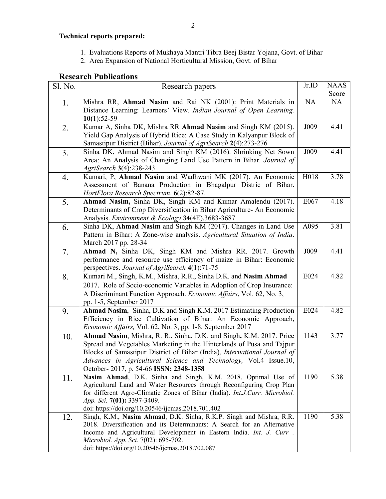## Technical reports prepared:

- 1. Evaluations Reports of Mukhaya Mantri Tibra Beej Bistar Yojana, Govt. of Bihar
- 2. Area Expansion of National Horticultural Mission, Govt. of Bihar

## Research Publications

| Sl. No. | Research papers                                                                                                                       | Jr.ID | <b>NAAS</b> |
|---------|---------------------------------------------------------------------------------------------------------------------------------------|-------|-------------|
|         |                                                                                                                                       |       | Score       |
| 1.      | Mishra RR, Ahmad Nasim and Rai NK (2001): Print Materials in                                                                          | NA    | <b>NA</b>   |
|         | Distance Learning: Learners' View. Indian Journal of Open Learning.                                                                   |       |             |
|         | $10(1):52-59$                                                                                                                         |       |             |
| 2.      | Kumar A, Sinha DK, Mishra RR Ahmad Nasim and Singh KM (2015).                                                                         | J009  | 4.41        |
|         | Yield Gap Analysis of Hybrid Rice: A Case Study in Kalyanpur Block of                                                                 |       |             |
|         | Samastipur District (Bihar). Journal of AgriSearch 2(4):273-276                                                                       |       |             |
| 3.      | Sinha DK, Ahmad Nasim and Singh KM (2016). Shrinking Net Sown                                                                         | J009  | 4.41        |
|         | Area: An Analysis of Changing Land Use Pattern in Bihar. Journal of                                                                   |       |             |
|         | AgriSearch 3(4):238-243.                                                                                                              |       |             |
| 4.      | Kumari, P, Ahmad Nasim and Wadhwani MK (2017). An Economic                                                                            | H018  | 3.78        |
|         | Assessment of Banana Production in Bhagalpur Distric of Bihar.                                                                        |       |             |
|         | HortFlora Research Spectrum. 6(2):82-87.                                                                                              |       |             |
| 5.      | Ahmad Nasim, Sinha DK, Singh KM and Kumar Amalendu (2017).                                                                            | E067  | 4.18        |
|         | Determinants of Crop Diversification in Bihar Agriculture- An Economic                                                                |       |             |
|         | Analysis. Environment & Ecology 34(4E).3683-3687                                                                                      |       |             |
| 6.      | Sinha DK, Ahmad Nasim and Singh KM (2017). Changes in Land Use                                                                        | A095  | 3.81        |
|         | Pattern in Bihar: A Zone-wise analysis. Agricultural Situation of India.                                                              |       |             |
|         | March 2017 pp. 28-34                                                                                                                  |       |             |
| 7.      | Ahmad N, Sinha DK, Singh KM and Mishra RR. 2017. Growth                                                                               | J009  | 4.41        |
|         | performance and resource use efficiency of maize in Bihar: Economic                                                                   |       |             |
|         | perspectives. Journal of AgriSearch 4(1):71-75                                                                                        |       |             |
| 8.      | Kumari M., Singh, K.M., Mishra, R.R., Sinha D.K. and Nasim Ahmad                                                                      | E024  | 4.82        |
|         | 2017. Role of Socio-economic Variables in Adoption of Crop Insurance:                                                                 |       |             |
|         | A Discriminant Function Approach. Economic Affairs, Vol. 62, No. 3,                                                                   |       |             |
|         | pp. 1-5, September 2017                                                                                                               |       |             |
| 9.      | Ahmad Nasim, Sinha, D.K and Singh K.M. 2017 Estimating Production                                                                     | E024  | 4.82        |
|         | Efficiency in Rice Cultivation of Bihar: An Economic Approach,                                                                        |       |             |
|         | Economic Affairs, Vol. 62, No. 3, pp. 1-8, September 2017                                                                             |       |             |
| 10.     | Ahmad Nasim, Mishra, R. R., Sinha, D.K. and Singh, K.M. 2017. Price                                                                   | 1143  | 3.77        |
|         | Spread and Vegetables Marketing in the Hinterlands of Pusa and Tajpur                                                                 |       |             |
|         | Blocks of Samastipur District of Bihar (India), International Journal of                                                              |       |             |
|         | Advances in Agricultural Science and Technology, Vol.4 Issue.10,                                                                      |       |             |
|         | October- 2017, p. 54-66 ISSN: 2348-1358                                                                                               |       |             |
| 11.     | Nasim Ahmad, D.K. Sinha and Singh, K.M. 2018. Optimal Use of<br>Agricultural Land and Water Resources through Reconfiguring Crop Plan | 1190  | 5.38        |
|         | for different Agro-Climatic Zones of Bihar (India). Int.J.Curr. Microbiol.                                                            |       |             |
|         | App. Sci. 7(01): 3397-3409.                                                                                                           |       |             |
|         | doi: https://doi.org/10.20546/ijcmas.2018.701.402                                                                                     |       |             |
| 12.     | Singh, K.M., Nasim Ahmad, D.K. Sinha, R.K.P. Singh and Mishra, R.R.                                                                   | 1190  | 5.38        |
|         | 2018. Diversification and its Determinants: A Search for an Alternative                                                               |       |             |
|         | Income and Agricultural Development in Eastern India. Int. J. Curr.                                                                   |       |             |
|         | Microbiol. App. Sci. 7(02): 695-702.                                                                                                  |       |             |
|         | doi: https://doi.org/10.20546/ijcmas.2018.702.087                                                                                     |       |             |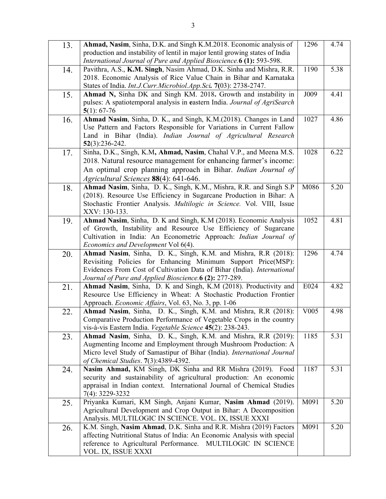| 13. | Ahmad, Nasim, Sinha, D.K. and Singh K.M.2018. Economic analysis of           | 1296 | 4.74              |
|-----|------------------------------------------------------------------------------|------|-------------------|
|     | production and instability of lentil in major lentil growing states of India |      |                   |
|     | International Journal of Pure and Applied Bioscience.6 (1): 593-598.         |      |                   |
| 14. | Pavithra, A.S., K.M. Singh, Nasim Ahmad, D.K. Sinha and Mishra, R.R.         | 1190 | 5.38              |
|     | 2018. Economic Analysis of Rice Value Chain in Bihar and Karnataka           |      |                   |
|     | States of India. Int.J.Curr.Microbiol.App.Sci. 7(03): 2738-2747.             |      |                   |
| 15. | Ahmad N, Sinha DK and Singh KM. 2018. Growth and instability in              | J009 | 4.41              |
|     | pulses: A spatiotemporal analysis in eastern India. Journal of AgriSearch    |      |                   |
|     | $5(1): 67-76$                                                                |      |                   |
| 16. | Ahmad Nasim, Sinha, D. K., and Singh, K.M.(2018). Changes in Land            | 1027 | 4.86              |
|     | Use Pattern and Factors Responsible for Variations in Current Fallow         |      |                   |
|     | Land in Bihar (India). Indian Journal of Agricultural Research               |      |                   |
|     | $52(3):236-242.$                                                             |      |                   |
| 17. | Sinha, D.K., Singh, K.M, Ahmad, Nasim, Chahal V.P., and Meena M.S.           | 1028 | 6.22              |
|     | 2018. Natural resource management for enhancing farmer's income:             |      |                   |
|     |                                                                              |      |                   |
|     | An optimal crop planning approach in Bihar. Indian Journal of                |      |                   |
|     | Agricultural Sciences 88(4): 641-646.                                        |      |                   |
| 18. | Ahmad Nasim, Sinha, D. K., Singh, K.M., Mishra, R.R. and Singh S.P           | M086 | 5.20              |
|     | (2018). Resource Use Efficiency in Sugarcane Production in Bihar: A          |      |                   |
|     | Stochastic Frontier Analysis. Multilogic in Science. Vol. VIII, Issue        |      |                   |
|     | XXV: 130-133.                                                                |      |                   |
| 19. | Ahmad Nasim, Sinha, D. K and Singh, K.M (2018). Economic Analysis            | 1052 | 4.81              |
|     | of Growth, Instability and Resource Use Efficiency of Sugarcane              |      |                   |
|     | Cultivation in India: An Econometric Approach: Indian Journal of             |      |                   |
|     | <i>Economics and Development Vol 6(4).</i>                                   |      |                   |
|     |                                                                              |      |                   |
| 20. | Ahmad Nasim, Sinha, D. K., Singh, K.M. and Mishra, R.R (2018):               | 1296 | 4.74              |
|     | Revisiting Policies for Enhancing Minimum Support Price(MSP):                |      |                   |
|     | Evidences From Cost of Cultivation Data of Bihar (India). International      |      |                   |
|     | Journal of Pure and Applied Bioscience. 6 (2): 277-289.                      |      |                   |
| 21. | Ahmad Nasim, Sinha, D. K and Singh, K.M (2018). Productivity and             | E024 | 4.82              |
|     | Resource Use Efficiency in Wheat: A Stochastic Production Frontier           |      |                   |
|     | Approach. Economic Affairs, Vol. 63, No. 3, pp. 1-06                         |      |                   |
| 22. | Ahmad Nasim, Sinha, D. K., Singh, K.M. and Mishra, R.R (2018):               | V005 | 4.98              |
|     | Comparative Production Performance of Vegetable Crops in the country         |      |                   |
|     | vis-à-vis Eastern India. Vegetable Science 45(2): 238-243.                   |      |                   |
| 23. | Ahmad Nasim, Sinha, D. K., Singh, K.M. and Mishra, R.R (2019):               | 1185 | 5.31              |
|     | Augmenting Income and Employment through Mushroom Production: A              |      |                   |
|     | Micro level Study of Samastipur of Bihar (India). International Journal      |      |                   |
|     | of Chemical Studies. 7(3):4389-4392.                                         |      |                   |
|     | Nasim Ahmad, KM Singh, DK Sinha and RR Mishra (2019). Food                   | 1187 | $\overline{5.31}$ |
| 24. | security and sustainability of agricultural production: An economic          |      |                   |
|     | appraisal in Indian context. International Journal of Chemical Studies       |      |                   |
|     | 7(4): 3229-3232                                                              |      |                   |
| 25. | Priyanka Kumari, KM Singh, Anjani Kumar, Nasim Ahmad (2019).                 | M091 | 5.20              |
|     | Agricultural Development and Crop Output in Bihar: A Decomposition           |      |                   |
|     | Analysis. MULTILOGIC IN SCIENCE. VOL. IX, ISSUE XXXI                         |      |                   |
|     | K.M. Singh, Nasim Ahmad, D.K. Sinha and R.R. Mishra (2019) Factors           | M091 | 5.20              |
| 26. | affecting Nutritional Status of India: An Economic Analysis with special     |      |                   |
|     | reference to Agricultural Performance.<br>MULTILOGIC IN SCIENCE              |      |                   |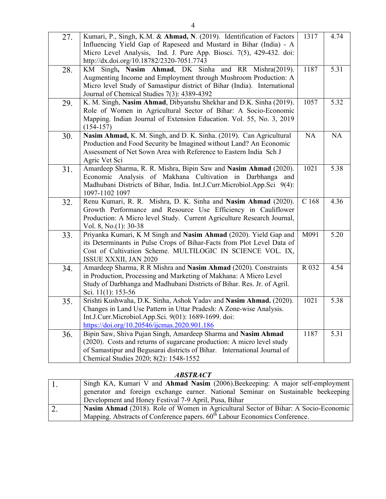| 27. | Kumari, P., Singh, K.M. & Ahmad, N. (2019). Identification of Factors<br>Influencing Yield Gap of Rapeseed and Mustard in Bihar (India) - A<br>Micro Level Analysis, Ind. J. Pure App. Biosci. 7(5), 429-432. doi:<br>http://dx.doi.org/10.18782/2320-7051.7743 | 1317  | 4.74 |
|-----|-----------------------------------------------------------------------------------------------------------------------------------------------------------------------------------------------------------------------------------------------------------------|-------|------|
| 28. | Singh, Nasim Ahmad, DK Sinha and RR Mishra(2019).<br>KM<br>Augmenting Income and Employment through Mushroom Production: A<br>Micro level Study of Samastipur district of Bihar (India). International<br>Journal of Chemical Studies 7(3): 4389-4392           | 1187  | 5.31 |
| 29. | K. M. Singh, Nasim Ahmad, Dibyanshu Shekhar and D.K. Sinha (2019).<br>Role of Women in Agricultural Sector of Bihar: A Socio-Economic<br>Mapping. Indian Journal of Extension Education. Vol. 55, No. 3, 2019<br>$(154-157)$                                    | 1057  | 5.32 |
| 30. | Nasim Ahmad, K. M. Singh, and D. K. Sinha. (2019). Can Agricultural<br>Production and Food Security be Imagined without Land? An Economic<br>Assessment of Net Sown Area with Reference to Eastern India Sch J<br>Agric Vet Sci                                 | NA    | NA   |
| 31. | Amardeep Sharma, R. R. Mishra, Bipin Saw and Nasim Ahmad (2020).<br>Economic Analysis of Makhana Cultivation in Darbhanga and<br>Madhubani Districts of Bihar, India. Int.J.Curr.Microbiol.App.Sci 9(4):<br>1097-1102 1097                                      | 1021  | 5.38 |
| 32. | Renu Kumari, R. R. Mishra, D. K. Sinha and Nasim Ahmad (2020).<br>Growth Performance and Resource Use Efficiency in Cauliflower<br>Production: A Micro level Study. Current Agriculture Research Journal,<br>Vol. 8, No.(1): 30-38                              | C168  | 4.36 |
| 33. | Priyanka Kumari, K M Singh and Nasim Ahmad (2020). Yield Gap and<br>its Determinants in Pulse Crops of Bihar-Facts from Plot Level Data of<br>Cost of Cultivation Scheme. MULTILOGIC IN SCIENCE VOL. IX,<br>ISSUE XXXII, JAN 2020                               | M091  | 5.20 |
| 34. | Amardeep Sharma, R R Mishra and Nasim Ahmad (2020). Constraints<br>in Production, Processing and Marketing of Makhana: A Micro Level<br>Study of Darbhanga and Madhubani Districts of Bihar. Res. Jr. of Agril.<br>Sci. 11(1): 153-56                           | R 032 | 4.54 |
| 35. | Srishti Kushwaha, D.K. Sinha, Ashok Yadav and Nasim Ahmad. (2020).<br>Changes in Land Use Pattern in Uttar Pradesh: A Zone-wise Analysis.<br>Int.J.Curr.Microbiol.App.Sci. 9(01): 1689-1699. doi:<br>https://doi.org/10.20546/ijcmas.2020.901.186               | 1021  | 5.38 |
| 36. | Bipin Saw, Shiva Pujan Singh, Amardeep Sharma and Nasim Ahmad<br>(2020). Costs and returns of sugarcane production: A micro level study<br>of Samastipur and Begusarai districts of Bihar. International Journal of<br>Chemical Studies 2020; 8(2): 1548-1552   | 1187  | 5.31 |

## *ABSTRACT*

| $\mathbf{L}$ | Singh KA, Kumari V and Ahmad Nasim (2006). Beekeeping: A major self-employment         |
|--------------|----------------------------------------------------------------------------------------|
|              | generator and foreign exchange earner. National Seminar on Sustainable beekeeping      |
|              | Development and Honey Festival 7-9 April, Pusa, Bihar                                  |
|              | Nasim Ahmad (2018). Role of Women in Agricultural Sector of Bihar: A Socio-Economic    |
|              | Mapping. Abstracts of Conference papers. 60 <sup>th</sup> Labour Economics Conference. |

4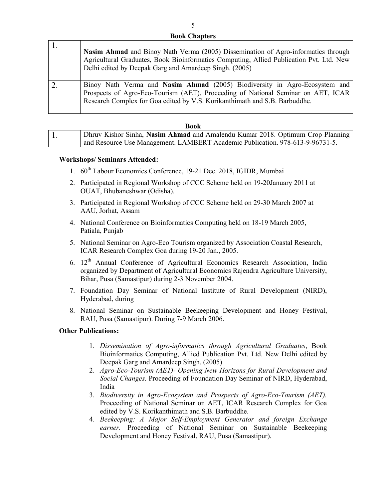### Book Chapters

| Nasim Ahmad and Binoy Nath Verma (2005) Dissemination of Agro-informatics through<br>Agricultural Graduates, Book Bioinformatics Computing, Allied Publication Pvt. Ltd. New<br>Delhi edited by Deepak Garg and Amardeep Singh. (2005)       |
|----------------------------------------------------------------------------------------------------------------------------------------------------------------------------------------------------------------------------------------------|
| Binoy Nath Verma and Nasim Ahmad (2005) Biodiversity in Agro-Ecosystem and<br>Prospects of Agro-Eco-Tourism (AET). Proceeding of National Seminar on AET, ICAR<br>Research Complex for Goa edited by V.S. Korikanthimath and S.B. Barbuddhe. |

#### Book

| Dhruv Kishor Sinha, Nasim Ahmad and Amalendu Kumar 2018. Optimum Crop Planning |
|--------------------------------------------------------------------------------|
| and Resource Use Management. LAMBERT Academic Publication. 978-613-9-96731-5.  |

### Workshops/ Seminars Attended:

- 1. 60<sup>th</sup> Labour Economics Conference, 19-21 Dec. 2018, IGIDR, Mumbai
- 2. Participated in Regional Workshop of CCC Scheme held on 19-20January 2011 at OUAT, Bhubaneshwar (Odisha).
- 3. Participated in Regional Workshop of CCC Scheme held on 29-30 March 2007 at AAU, Jorhat, Assam
- 4. National Conference on Bioinformatics Computing held on 18-19 March 2005, Patiala, Punjab
- 5. National Seminar on Agro-Eco Tourism organized by Association Coastal Research, ICAR Research Complex Goa during 19-20 Jan., 2005.
- 6.  $12<sup>th</sup>$  Annual Conference of Agricultural Economics Research Association, India organized by Department of Agricultural Economics Rajendra Agriculture University, Bihar, Pusa (Samastipur) during 2-3 November 2004.
- 7. Foundation Day Seminar of National Institute of Rural Development (NIRD), Hyderabad, during
- 8. National Seminar on Sustainable Beekeeping Development and Honey Festival, RAU, Pusa (Samastipur). During 7-9 March 2006.

### Other Publications:

- 1. *Dissemination of Agro-informatics through Agricultural Graduates*, Book Bioinformatics Computing, Allied Publication Pvt. Ltd. New Delhi edited by Deepak Garg and Amardeep Singh. (2005)
- 2. *Agro-Eco-Tourism (AET)- Opening New Horizons for Rural Development and Social Changes.* Proceeding of Foundation Day Seminar of NIRD, Hyderabad, India
- 3. *Biodiversity in Agro-Ecosystem and Prospects of Agro-Eco-Tourism (AET).* Proceeding of National Seminar on AET, ICAR Research Complex for Goa edited by V.S. Korikanthimath and S.B. Barbuddhe.
- 4. *Beekeeping: A Major Self-Employment Generator and foreign Exchange earner.* Proceeding of National Seminar on Sustainable Beekeeping Development and Honey Festival, RAU, Pusa (Samastipur).